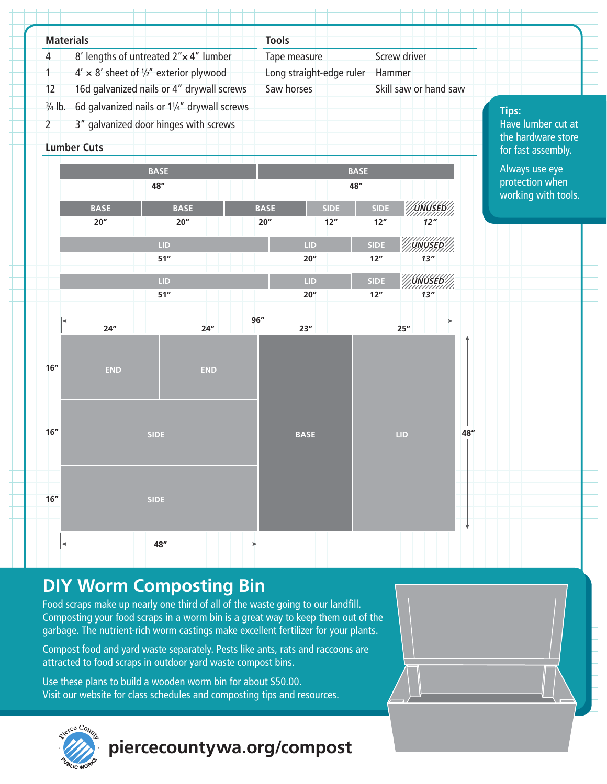

# **DIY Worm Composting Bin**

Food scraps make up nearly one third of all of the waste going to our landfill. Composting your food scraps in a worm bin is a great way to keep them out of the garbage. The nutrient-rich worm castings make excellent fertilizer for your plants.

Compost food and yard waste separately. Pests like ants, rats and raccoons are attracted to food scraps in outdoor yard waste compost bins.

Use these plans to build a wooden worm bin for about \$50.00. Visit our website for class schedules and composting tips and resources.



**piercecountywa.org/compost**